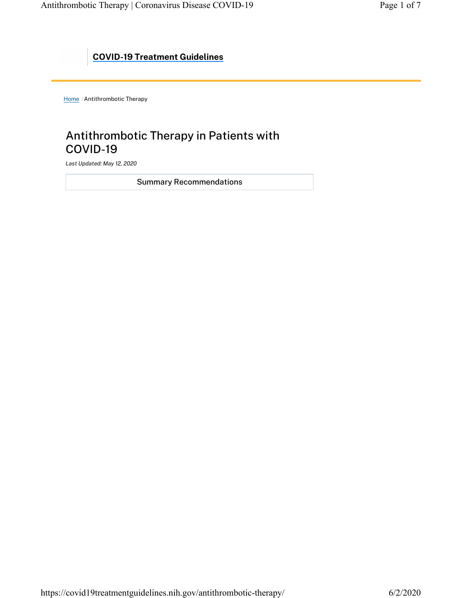## COVID-19 Treatment Guidelines

Home / Antithrombotic Therapy

# Antithrombotic Therapy in Patients with COVID-19

Last Updated: May 12, 2020

Summary Recommendations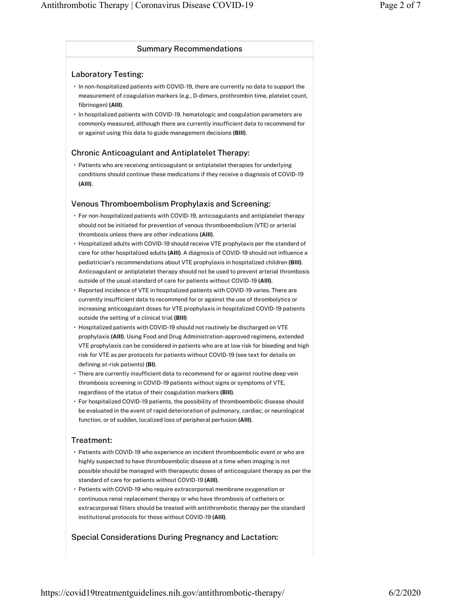### Summary Recommendations

### Laboratory Testing:

- In non-hospitalized patients with COVID-19, there are currently no data to support the measurement of coagulation markers (e.g., D-dimers, prothrombin time, platelet count, fibrinogen) (AIII).
- In hospitalized patients with COVID-19, hematologic and coagulation parameters are commonly measured, although there are currently insufficient data to recommend for or against using this data to guide management decisions (BIII).

### Chronic Anticoagulant and Antiplatelet Therapy:

• Patients who are receiving anticoagulant or antiplatelet therapies for underlying conditions should continue these medications if they receive a diagnosis of COVID-19 (AIII).

### Venous Thromboembolism Prophylaxis and Screening:

- For non-hospitalized patients with COVID-19, anticoagulants and antiplatelet therapy should not be initiated for prevention of venous thromboembolism (VTE) or arterial thrombosis unless there are other indications (AIII).
- Hospitalized adults with COVID-19 should receive VTE prophylaxis per the standard of care for other hospitalized adults (AIII). A diagnosis of COVID-19 should not influence a pediatrician's recommendations about VTE prophylaxis in hospitalized children (BIII). Anticoagulant or antiplatelet therapy should not be used to prevent arterial thrombosis outside of the usual standard of care for patients without COVID-19 (AIII).
- Reported incidence of VTE in hospitalized patients with COVID-19 varies. There are currently insufficient data to recommend for or against the use of thrombolytics or increasing anticoagulant doses for VTE prophylaxis in hospitalized COVID-19 patients outside the setting of a clinical trial (BIII)
- Hospitalized patients with COVID-19 should not routinely be discharged on VTE prophylaxis (AIII). Using Food and Drug Administration-approved regimens, extended VTE prophylaxis can be considered in patients who are at low risk for bleeding and high risk for VTE as per protocols for patients without COVID-19 (see text for details on defining at-risk patients) (BI).
- There are currently insufficient data to recommend for or against routine deep vein thrombosis screening in COVID-19 patients without signs or symptoms of VTE, regardless of the status of their coagulation markers (BIII).
- For hospitalized COVID-19 patients, the possibility of thromboembolic disease should be evaluated in the event of rapid deterioration of pulmonary, cardiac, or neurological function, or of sudden, localized loss of peripheral perfusion (AIII).

### Treatment:

- Patients with COVID-19 who experience an incident thromboembolic event or who are highly suspected to have thromboembolic disease at a time when imaging is not possible should be managed with therapeutic doses of anticoagulant therapy as per the standard of care for patients without COVID-19 (AIII).
- Patients with COVID-19 who require extracorporeal membrane oxygenation or continuous renal replacement therapy or who have thrombosis of catheters or extracorporeal filters should be treated with antithrombotic therapy per the standard institutional protocols for those without COVID-19 (AIII).

### Special Considerations During Pregnancy and Lactation: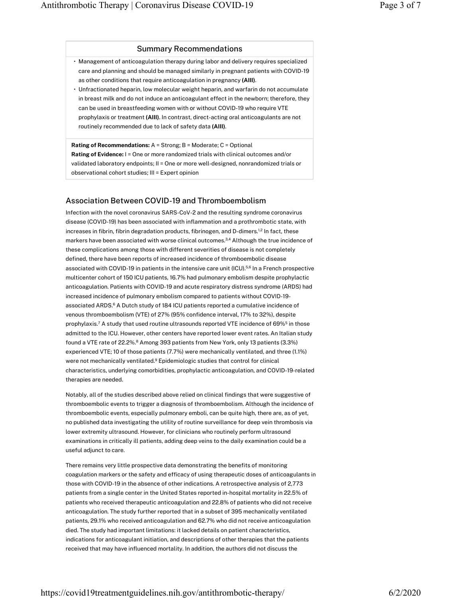#### Summary Recommendations

- Management of anticoagulation therapy during labor and delivery requires specialized care and planning and should be managed similarly in pregnant patients with COVID-19 as other conditions that require anticoagulation in pregnancy (AIII).
- Unfractionated heparin, low molecular weight heparin, and warfarin do not accumulate in breast milk and do not induce an anticoagulant effect in the newborn; therefore, they can be used in breastfeeding women with or without COVID-19 who require VTE prophylaxis or treatment (AIII). In contrast, direct-acting oral anticoagulants are not routinely recommended due to lack of safety data (AIII).

Rating of Recommendations: A = Strong; B = Moderate; C = Optional Rating of Evidence: I = One or more randomized trials with clinical outcomes and/or validated laboratory endpoints; II = One or more well-designed, nonrandomized trials or observational cohort studies; III = Expert opinion

### Association Between COVID-19 and Thromboembolism

Infection with the novel coronavirus SARS-CoV-2 and the resulting syndrome coronavirus disease (COVID-19) has been associated with inflammation and a prothrombotic state, with increases in fibrin, fibrin degradation products, fibrinogen, and D-dimers.<sup>1,2</sup> In fact, these markers have been associated with worse clinical outcomes. $^{3,4}$  Although the true incidence of these complications among those with different severities of disease is not completely defined, there have been reports of increased incidence of thromboembolic disease associated with COVID-19 in patients in the intensive care unit (ICU). $^{56}$  In a French prospective multicenter cohort of 150 ICU patients, 16.7% had pulmonary embolism despite prophylactic anticoagulation. Patients with COVID-19 and acute respiratory distress syndrome (ARDS) had increased incidence of pulmonary embolism compared to patients without COVID-19 associated ARDS. $<sup>6</sup>$  A Dutch study of 184 ICU patients reported a cumulative incidence of</sup> venous thromboembolism (VTE) of 27% (95% confidence interval, 17% to 32%), despite prophylaxis.<sup>7</sup> A study that used routine ultrasounds reported VTE incidence of 69%<sup>5</sup> in those admitted to the ICU. However, other centers have reported lower event rates. An Italian study found a VTE rate of 22.2%.<sup>8</sup> Among 393 patients from New York, only 13 patients (3.3%) experienced VTE; 10 of those patients (7.7%) were mechanically ventilated, and three (1.1%) were not mechanically ventilated.<sup>9</sup> Epidemiologic studies that control for clinical characteristics, underlying comorbidities, prophylactic anticoagulation, and COVID-19-related therapies are needed.

Notably, all of the studies described above relied on clinical findings that were suggestive of thromboembolic events to trigger a diagnosis of thromboembolism. Although the incidence of thromboembolic events, especially pulmonary emboli, can be quite high, there are, as of yet, no published data investigating the utility of routine surveillance for deep vein thrombosis via lower extremity ultrasound. However, for clinicians who routinely perform ultrasound examinations in critically ill patients, adding deep veins to the daily examination could be a useful adjunct to care.

There remains very little prospective data demonstrating the benefits of monitoring coagulation markers or the safety and efficacy of using therapeutic doses of anticoagulants in those with COVID-19 in the absence of other indications. A retrospective analysis of 2,773 patients from a single center in the United States reported in-hospital mortality in 22.5% of patients who received therapeutic anticoagulation and 22.8% of patients who did not receive anticoagulation. The study further reported that in a subset of 395 mechanically ventilated patients, 29.1% who received anticoagulation and 62.7% who did not receive anticoagulation died. The study had important limitations: it lacked details on patient characteristics, indications for anticoagulant initiation, and descriptions of other therapies that the patients received that may have influenced mortality. In addition, the authors did not discuss the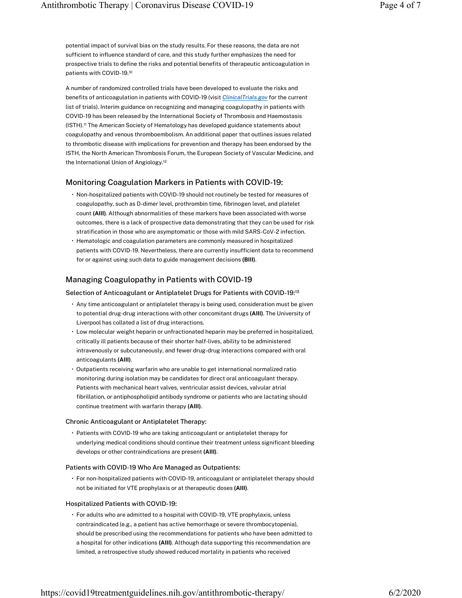potential impact of survival bias on the study results. For these reasons, the data are not sufficient to influence standard of care, and this study further emphasizes the need for prospective trials to define the risks and potential benefits of therapeutic anticoagulation in patients with COVID-19. 10

A number of randomized controlled trials have been developed to evaluate the risks and benefits of anticoagulation in patients with COVID-19 (visit ClinicalTrials.gov for the current list of trials). Interim guidance on recognizing and managing coagulopathy in patients with COVID-19 has been released by the International Society of Thrombosis and Haemostasis (ISTH).<sup>11</sup> The American Society of Hematology has developed guidance statements about coagulopathy and venous thromboembolism. An additional paper that outlines issues related to thrombotic disease with implications for prevention and therapy has been endorsed by the ISTH, the North American Thrombosis Forum, the European Society of Vascular Medicine, and the International Union of Angiology. 12

### Monitoring Coagulation Markers in Patients with COVID-19:

- Non-hospitalized patients with COVID-19 should not routinely be tested for measures of coagulopathy, such as D-dimer level, prothrombin time, fibrinogen level, and platelet count (AIII). Although abnormalities of these markers have been associated with worse outcomes, there is a lack of prospective data demonstrating that they can be used for risk stratification in those who are asymptomatic or those with mild SARS-CoV-2 infection.
- Hematologic and coagulation parameters are commonly measured in hospitalized patients with COVID-19. Nevertheless, there are currently insufficient data to recommend for or against using such data to guide management decisions (BIII).

### Managing Coagulopathy in Patients with COVID-19

#### Selection of Anticoagulant or Antiplatelet Drugs for Patients with COVID-19: 13

- Any time anticoagulant or antiplatelet therapy is being used, consideration must be given to potential drug-drug interactions with other concomitant drugs (AIII). The University of Liverpool has collated a list of drug interactions.
- Low molecular weight heparin or unfractionated heparin may be preferred in hospitalized, critically ill patients because of their shorter half-lives, ability to be administered intravenously or subcutaneously, and fewer drug-drug interactions compared with oral anticoagulants (AIII).
- Outpatients receiving warfarin who are unable to get international normalized ratio monitoring during isolation may be candidates for direct oral anticoagulant therapy. Patients with mechanical heart valves, ventricular assist devices, valvular atrial fibrillation, or antiphospholipid antibody syndrome or patients who are lactating should continue treatment with warfarin therapy (AIII).

#### Chronic Anticoagulant or Antiplatelet Therapy:

• Patients with COVID-19 who are taking anticoagulant or antiplatelet therapy for underlying medical conditions should continue their treatment unless significant bleeding develops or other contraindications are present (AIII).

### Patients with COVID-19 Who Are Managed as Outpatients:

• For non-hospitalized patients with COVID-19, anticoagulant or antiplatelet therapy should not be initiated for VTE prophylaxis or at therapeutic doses (AIII).

#### Hospitalized Patients with COVID-19:

• For adults who are admitted to a hospital with COVID-19, VTE prophylaxis, unless contraindicated (e.g., a patient has active hemorrhage or severe thrombocytopenia), should be prescribed using the recommendations for patients who have been admitted to a hospital for other indications (AIII). Although data supporting this recommendation are limited, a retrospective study showed reduced mortality in patients who received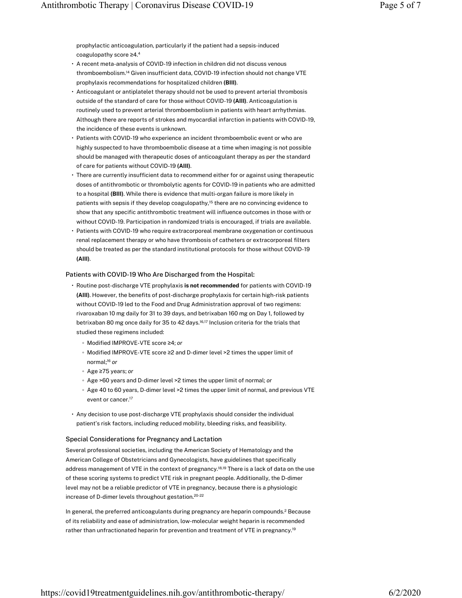prophylactic anticoagulation, particularly if the patient had a sepsis-induced coagulopathy score ≥4. 4

- A recent meta-analysis of COVID-19 infection in children did not discuss venous thromboembolism.<sup>14</sup> Given insufficient data, COVID-19 infection should not change VTE prophylaxis recommendations for hospitalized children (BIII).
- Anticoagulant or antiplatelet therapy should not be used to prevent arterial thrombosis outside of the standard of care for those without COVID-19 (AIII). Anticoagulation is routinely used to prevent arterial thromboembolism in patients with heart arrhythmias. Although there are reports of strokes and myocardial infarction in patients with COVID-19, the incidence of these events is unknown.
- Patients with COVID-19 who experience an incident thromboembolic event or who are highly suspected to have thromboembolic disease at a time when imaging is not possible should be managed with therapeutic doses of anticoagulant therapy as per the standard of care for patients without COVID-19 (AIII).
- There are currently insufficient data to recommend either for or against using therapeutic doses of antithrombotic or thrombolytic agents for COVID-19 in patients who are admitted to a hospital (BIII). While there is evidence that multi-organ failure is more likely in patients with sepsis if they develop coagulopathy,<sup>15</sup> there are no convincing evidence to show that any specific antithrombotic treatment will influence outcomes in those with or without COVID-19. Participation in randomized trials is encouraged, if trials are available.
- Patients with COVID-19 who require extracorporeal membrane oxygenation or continuous renal replacement therapy or who have thrombosis of catheters or extracorporeal filters should be treated as per the standard institutional protocols for those without COVID-19 (AIII).

#### Patients with COVID-19 Who Are Discharged from the Hospital:

- Routine post-discharge VTE prophylaxis is not recommended for patients with COVID-19 (AIII). However, the benefits of post-discharge prophylaxis for certain high-risk patients without COVID-19 led to the Food and Drug Administration approval of two regimens: rivaroxaban 10 mg daily for 31 to 39 days, and betrixaban 160 mg on Day 1, followed by betrixaban 80 mg once daily for 35 to 42 days.<sup>16,17</sup> Inclusion criteria for the trials that studied these regimens included:
	- Modified IMPROVE-VTE score ≥4; or
	- Modified IMPROVE-VTE score ≥2 and D-dimer level >2 times the upper limit of normal;<sup>16</sup> or
	- Age ≥75 years; or
	- Age >60 years and D-dimer level >2 times the upper limit of normal; or
	- Age 40 to 60 years, D-dimer level >2 times the upper limit of normal, and previous VTE event or cancer. 17
- Any decision to use post-discharge VTE prophylaxis should consider the individual patient's risk factors, including reduced mobility, bleeding risks, and feasibility.

#### Special Considerations for Pregnancy and Lactation

Several professional societies, including the American Society of Hematology and the American College of Obstetricians and Gynecologists, have guidelines that specifically address management of VTE in the context of pregnancy.<sup>18,19</sup> There is a lack of data on the use of these scoring systems to predict VTE risk in pregnant people. Additionally, the D-dimer level may not be a reliable predictor of VTE in pregnancy, because there is a physiologic increase of D-dimer levels throughout gestation. 20-22

In general, the preferred anticoagulants during pregnancy are heparin compounds. $^2$  Because of its reliability and ease of administration, low-molecular weight heparin is recommended rather than unfractionated heparin for prevention and treatment of VTE in pregnancy. 19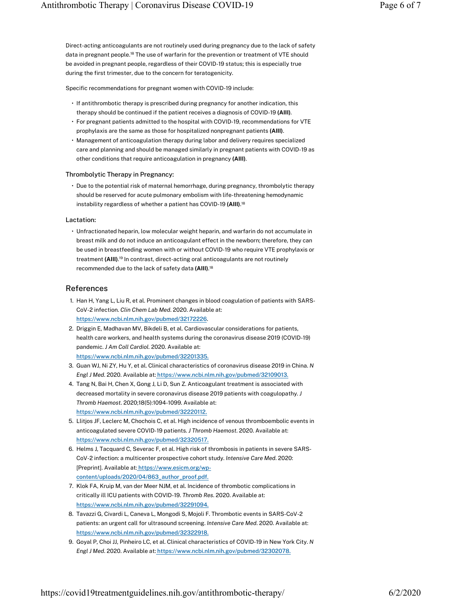Direct-acting anticoagulants are not routinely used during pregnancy due to the lack of safety data in pregnant people.<sup>18</sup> The use of warfarin for the prevention or treatment of VTE should be avoided in pregnant people, regardless of their COVID-19 status; this is especially true during the first trimester, due to the concern for teratogenicity.

Specific recommendations for pregnant women with COVID-19 include:

- If antithrombotic therapy is prescribed during pregnancy for another indication, this therapy should be continued if the patient receives a diagnosis of COVID-19 (AIII).
- For pregnant patients admitted to the hospital with COVID-19, recommendations for VTE prophylaxis are the same as those for hospitalized nonpregnant patients (AIII).
- Management of anticoagulation therapy during labor and delivery requires specialized care and planning and should be managed similarly in pregnant patients with COVID-19 as other conditions that require anticoagulation in pregnancy (AIII).

#### Thrombolytic Therapy in Pregnancy:

• Due to the potential risk of maternal hemorrhage, during pregnancy, thrombolytic therapy should be reserved for acute pulmonary embolism with life-threatening hemodynamic instability regardless of whether a patient has COVID-19 (AIII). 18

#### Lactation:

• Unfractionated heparin, low molecular weight heparin, and warfarin do not accumulate in breast milk and do not induce an anticoagulant effect in the newborn; therefore, they can be used in breastfeeding women with or without COVID-19 who require VTE prophylaxis or treatment (AIII).<sup>19</sup> In contrast, direct-acting oral anticoagulants are not routinely recommended due to the lack of safety data (AIII). 18

#### References

- 1. Han H, Yang L, Liu R, et al. Prominent changes in blood coagulation of patients with SARS-CoV-2 infection. Clin Chem Lab Med. 2020. Available at: https://www.ncbi.nlm.nih.gov/pubmed/32172226.
- 2. Driggin E, Madhavan MV, Bikdeli B, et al. Cardiovascular considerations for patients, health care workers, and health systems during the coronavirus disease 2019 (COVID-19) pandemic. J Am Coll Cardiol. 2020. Available at: https://www.ncbi.nlm.nih.gov/pubmed/32201335.
- 3. Guan WJ, Ni ZY, Hu Y, et al. Clinical characteristics of coronavirus disease 2019 in China. N Engl J Med. 2020. Available at: https://www.ncbi.nlm.nih.gov/pubmed/32109013.
- 4. Tang N, Bai H, Chen X, Gong J, Li D, Sun Z. Anticoagulant treatment is associated with decreased mortality in severe coronavirus disease 2019 patients with coagulopathy. J Thromb Haemost. 2020;18(5):1094-1099. Available at: https://www.ncbi.nlm.nih.gov/pubmed/32220112.
- 5. Llitjos JF, Leclerc M, Chochois C, et al. High incidence of venous thromboembolic events in anticoagulated severe COVID-19 patients. J Thromb Haemost. 2020. Available at: https://www.ncbi.nlm.nih.gov/pubmed/32320517.
- 6. Helms J, Tacquard C, Severac F, et al. High risk of thrombosis in patients in severe SARS-CoV-2 infection: a multicenter prospective cohort study. Intensive Care Med. 2020: [Preprint]. Available at: https://www.esicm.org/wpcontent/uploads/2020/04/863\_author\_proof.pdf.
- 7. Klok FA, Kruip M, van der Meer NJM, et al. Incidence of thrombotic complications in critically ill ICU patients with COVID-19. Thromb Res. 2020. Available at: https://www.ncbi.nlm.nih.gov/pubmed/32291094.
- 8. Tavazzi G, Civardi L, Caneva L, Mongodi S, Mojoli F. Thrombotic events in SARS-CoV-2 patients: an urgent call for ultrasound screening. Intensive Care Med. 2020. Available at: https://www.ncbi.nlm.nih.gov/pubmed/32322918.
- 9. Goyal P, Choi JJ, Pinheiro LC, et al. Clinical characteristics of COVID-19 in New York City. N Engl J Med. 2020. Available at: https://www.ncbi.nlm.nih.gov/pubmed/32302078.